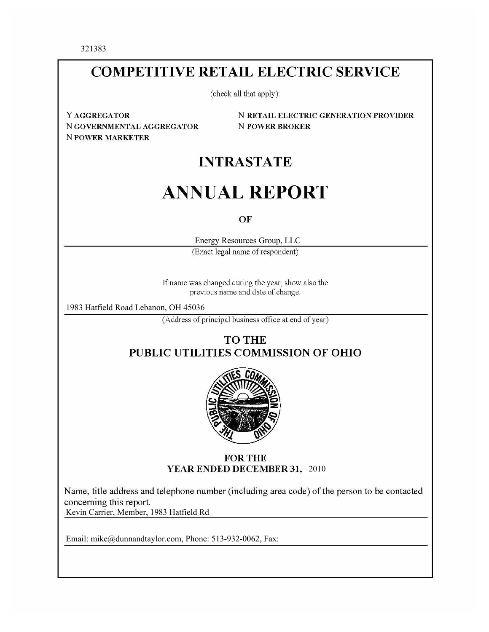321383

## **COMPETITIVE RETAIL ELECTRIC SERVICE**

(check all that apply):

Y AGGREGATOR N GOVERNMENTAL AGGREGATOR **N POWER MARKETER** 

**N RETAIL ELECTRIC GENERATION PROVIDER N POWER BROKER** 

## **INTRASTATE**

# **ANNUAL REPORT**

OF

Energy Resources Group, LLC

(Exact legal name of respondent)

If name was changed during the year, show also the previous name and date of change.

1983 Hatfield Road Lebanon, OH 45036

(Address of principal business office at end of year)

### **TO THE** PUBLIC UTILITIES COMMISSION OF OHIO



#### **FOR THE** YEAR ENDED DECEMBER 31, 2010

Name, title address and telephone number (including area code) of the person to be contacted Kevin Carrier, Member, 1983 Hatfield Rd Kevin Carrier, Member, 1983 Hatfield Rd

Email: mike@dunnandtaylor.com, Phone: 513-932-0062, Fax:

Email: mike@dunnandtaylor.com, Phone: 513-932-0062, Fax:

Email: mike@dunnandtaylor.com, Phone: 513-932-0062, Fax: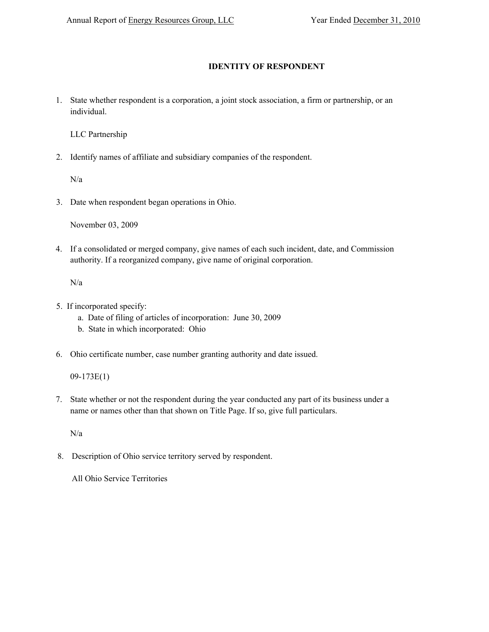#### **IDENTITY OF RESPONDENT**

1. State whether respondent is a corporation, a joint stock association, a firm or partnership, or an individual.

LLC Partnership

2. Identify names of affiliate and subsidiary companies of the respondent.

N/a

3. Date when respondent began operations in Ohio.

November 03, 2009

4. If a consolidated or merged company, give names of each such incident, date, and Commission authority. If a reorganized company, give name of original corporation.

N/a

- 5. If incorporated specify:
	- a. Date of filing of articles of incorporation: June 30, 2009
	- b. State in which incorporated: Ohio
- 6. Ohio certificate number, case number granting authority and date issued.

09-173E(1)

7. State whether or not the respondent during the year conducted any part of its business under a name or names other than that shown on Title Page. If so, give full particulars.

N/a

8. Description of Ohio service territory served by respondent.

All Ohio Service Territories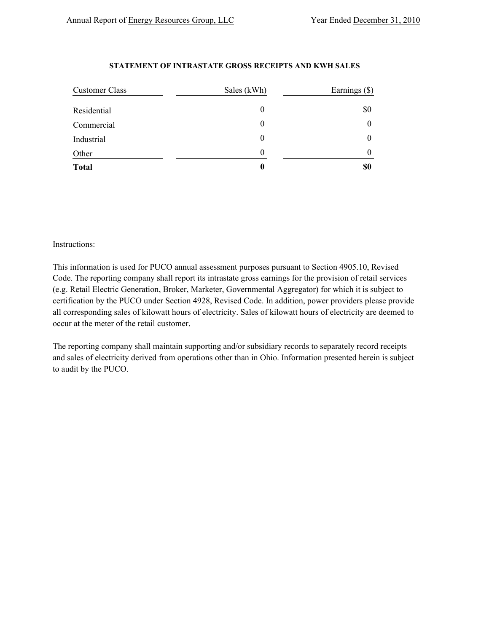#### **STATEMENT OF INTRASTATE GROSS RECEIPTS AND KWH SALES**

| Customer Class | Sales (kWh) | Earnings (\$) |
|----------------|-------------|---------------|
| Residential    |             | \$0           |
| Commercial     |             | $\theta$      |
| Industrial     |             | $\theta$      |
| Other          |             | 0             |
| <b>Total</b>   | 0           | \$0           |

#### Instructions:

This information is used for PUCO annual assessment purposes pursuant to Section 4905.10, Revised Code. The reporting company shall report its intrastate gross earnings for the provision of retail services (e.g. Retail Electric Generation, Broker, Marketer, Governmental Aggregator) for which it is subject to certification by the PUCO under Section 4928, Revised Code. In addition, power providers please provide all corresponding sales of kilowatt hours of electricity. Sales of kilowatt hours of electricity are deemed to occur at the meter of the retail customer.

The reporting company shall maintain supporting and/or subsidiary records to separately record receipts and sales of electricity derived from operations other than in Ohio. Information presented herein is subject to audit by the PUCO.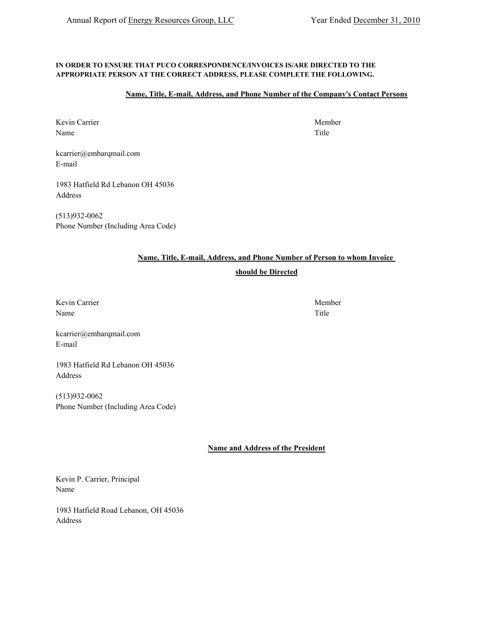#### **IN ORDER TO ENSURE THAT PUCO CORRESPONDENCE/INVOICES IS/ARE DIRECTED TO THE APPROPRIATE PERSON AT THE CORRECT ADDRESS, PLEASE COMPLETE THE FOLLOWING.**

#### **Name, Title, E-mail, Address, and Phone Number of the Company's Contact Persons**

Kevin Carrier Member Name Title

kcarrier@embarqmail.com E-mail

1983 Hatfield Rd Lebanon OH 45036 Address

(513)932-0062 Phone Number (Including Area Code)

#### **Name, Title, E-mail, Address, and Phone Number of Person to whom Invoice**

#### **should be Directed**

Kevin Carrier Member Name Title

kcarrier@embarqmail.com E-mail

1983 Hatfield Rd Lebanon OH 45036 Address

(513)932-0062 Phone Number (Including Area Code)

**Name and Address of the President**

Kevin P. Carrier, Principal Name

1983 Hatfield Road Lebanon, OH 45036 Address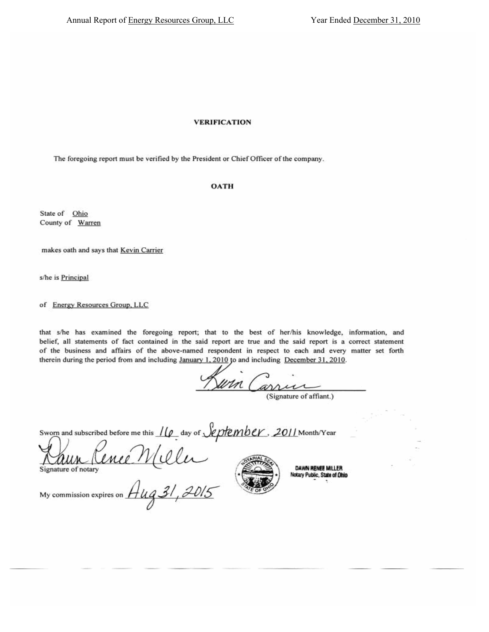#### **VERIFICATION**

The foregoing report must be verified by the President or Chief Officer of the company.

#### **OATH**

State of Ohio County of Warren

makes oath and says that Kevin Carrier

s/he is Principal

of Energy Resources Group, LLC

that s/he has examined the foregoing report; that to the best of her/his knowledge, information, and belief, all statements of fact contained in the said report are true and the said report is a correct statement of the business and affairs of the above-named respondent in respect to each and every matter set forth therein during the period from and including January 1, 2010 to and including December 31, 2010.

Kuin Carrier

Sworn and subscribed before me this  $\frac{1}{\varphi}$  day of  $\sqrt{\varphi}$  ptember. 2011 Month/Year

Raun Cenee Mele



**DAWN RENEE MILLER** Notary Public, State of Ohio